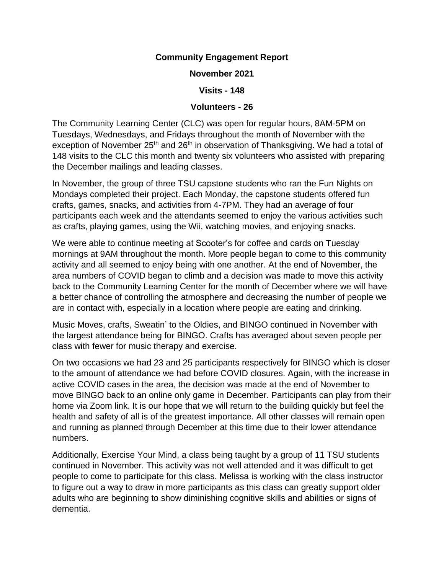## **Community Engagement Report**

**November 2021**

**Visits - 148**

## **Volunteers - 26**

The Community Learning Center (CLC) was open for regular hours, 8AM-5PM on Tuesdays, Wednesdays, and Fridays throughout the month of November with the exception of November 25<sup>th</sup> and 26<sup>th</sup> in observation of Thanksgiving. We had a total of 148 visits to the CLC this month and twenty six volunteers who assisted with preparing the December mailings and leading classes.

In November, the group of three TSU capstone students who ran the Fun Nights on Mondays completed their project. Each Monday, the capstone students offered fun crafts, games, snacks, and activities from 4-7PM. They had an average of four participants each week and the attendants seemed to enjoy the various activities such as crafts, playing games, using the Wii, watching movies, and enjoying snacks.

We were able to continue meeting at Scooter's for coffee and cards on Tuesday mornings at 9AM throughout the month. More people began to come to this community activity and all seemed to enjoy being with one another. At the end of November, the area numbers of COVID began to climb and a decision was made to move this activity back to the Community Learning Center for the month of December where we will have a better chance of controlling the atmosphere and decreasing the number of people we are in contact with, especially in a location where people are eating and drinking.

Music Moves, crafts, Sweatin' to the Oldies, and BINGO continued in November with the largest attendance being for BINGO. Crafts has averaged about seven people per class with fewer for music therapy and exercise.

On two occasions we had 23 and 25 participants respectively for BINGO which is closer to the amount of attendance we had before COVID closures. Again, with the increase in active COVID cases in the area, the decision was made at the end of November to move BINGO back to an online only game in December. Participants can play from their home via Zoom link. It is our hope that we will return to the building quickly but feel the health and safety of all is of the greatest importance. All other classes will remain open and running as planned through December at this time due to their lower attendance numbers.

Additionally, Exercise Your Mind, a class being taught by a group of 11 TSU students continued in November. This activity was not well attended and it was difficult to get people to come to participate for this class. Melissa is working with the class instructor to figure out a way to draw in more participants as this class can greatly support older adults who are beginning to show diminishing cognitive skills and abilities or signs of dementia.